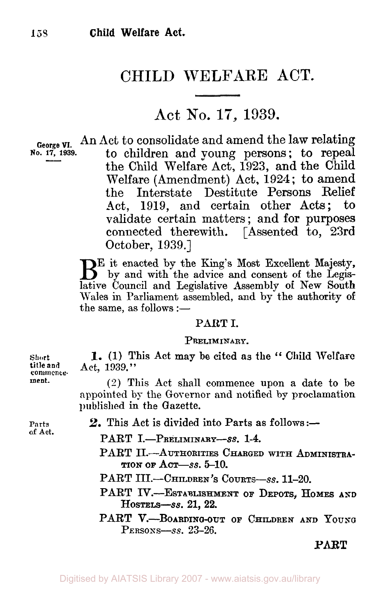# CHILD WELFARE **ACT.**

# **Act** No. **17, 1939.**

**George VI.** An Act to consolidate and amend the law relating **No. 17, 1939.** to children and young persons; to repeal the Child Welfare Act, **1923,** and the Child Welfare (Amendment) Act, **1924** ; to amend Interstate Destitute Persons Relief Act, **1919,** and certain other Acts; to validate certain matters; and for purposes connected therewith. [Assented to, 23rd October, **1939.]** 

 $B<sup>E</sup>$  it enacted by the King's Most Excellent Majesty,<br>by and with the advice and consent of the Legislative Council and Legislative Assembly of New South Wales in Parliament assembled, and by the authority of the same, as follows  $:=$ 

### PART I.

### PRELIMINARY.

**1.** (1) **This** Act **may be cited** as **the** " Child **Welfare**  Act, 1939."

(2) This Act shall commence upon a date to be appointed by the Governor and notified by proclamation published in the **Gazette.** 

**of Act.** 

**Short** 

**commence-**

**ment.** 

- **Parts 2.** This Act is divided into Parts as follows:-
	- PART I.-PRELIMINARY-SS. 1-4.
	- PART II.-AUTHORITIES CHARGED WITH ADMINISTRA-TION OF ACT-SS. **5-10.**
	- PART III.-CHILDREN'S COURTS-SS. 11-20.
	- PART IV.--ESTABLISHMENT OF DEPOTS, HOMES AND HOSTELS-SS. 21, **22.**
	- PART V.-BOARDING-OUT OF CHILDREN AND YOUNG  $Pensons-ss.$  23-26.

*PART*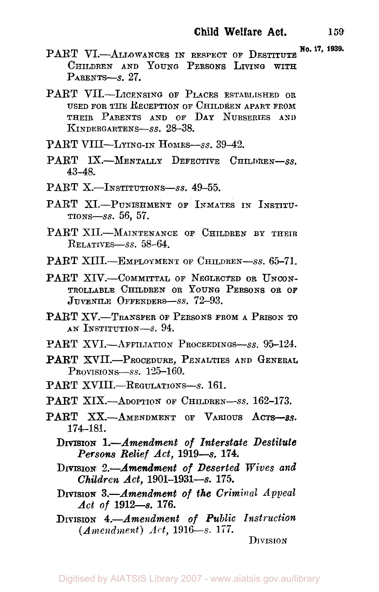- 
- PART VI.-ALLOWANCES IN RESPECT OF DESTITUTE No. 17, 1939. CHILDREN AND YOUNG PERSONS LIVING **WITH**  PARENTS-8. 27.
- USED FOR **THE** RECEPTION OF CHILDREN APART FROM THEIR PARENTS AND OF DAY NURSERIES **AND**  KINDERGARTENS-Ss. 28-38. PART VII.-LICENSING OF PLACES ESTABLISHED **OR**
- PART VIII-LYING-IN HOMES-SS. 39-42.
- PART IX.-MENTALLY DEFECTIVE CHILDREN-SS. *43-48.*
- PART X<sub>.</sub>-Institutions-ss. 49-55.
- PART XI.-PUNISHMENT OF INMATES IN INSTITU-TIONS-SS. *56, 57.*
- PART XII.-MAINTENANCE OF CHILDREN BY THEIR RELATIVES-SS. *58-64.*
- PART XIII.-EMPLOYMENT OF CHILDREN-SS. 65-71.
- PART XIV.-COMMITTAL OF NEGLECTED OR UNCON-TROLLABLE CHILDREN OR YOUNG PERSONS OR **OF**  JUVENILE OFFENDERS-SS. 72-93.
- PART XV.-TRANSFER OF PERSONS FROM A PRISON TO AN INSTITUTION-S. *94.*
- PART XVI.-AFFILIATION PROCEEDINGS-SS. 95-124.
- PART XVII.-PROCEDURE, PENALTIES **AND** GENERAL PROVISIONS-SS. 125-160.
- [PART XVIII.-REGULATIONS-S.](#page-3-0) 161.
- PART XIX.-ADOPTION OF CHILDREN-SS. 162-173.
- PART XX.-AMENDMENT OF VARIOUS ACTS-as. *174-181.* 
	- DIVISION *1.-Amendment of Interstate Destitute Persons Relief Act, 1919-s. 174.*
	- DIVISION *2-Amendment of Deserted Wives and Children Act, 1901-1931-s. 175.*
	- DIVISION *3.-Amendment of* the *Criminal Appeal Act* of *1912-s. 176.*
	- DIVISION *4.-Amendment of Public Instruction (Amendment) Art, 1916-s.* **177.**

DIVISION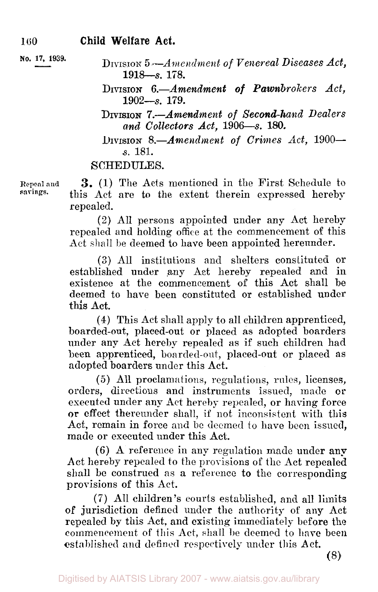DIVISION *5 --Amendment of Venereal Diseases Act,*  **No. 17, 1939.**  i9ia-s. **178.** 

- **DIVISION** *6.-Amendment of Pawnbrokers Act,*  1902-s. 179.
- **DIVISION** *7.-Amendment of Second-hand Dealers and Collectors Act,* 1906-s. 180.
- DIVISION 8.-*Amendment of Crimes Act,* 1900*s.* 181.

## SCHEDULES.

**Repeal and savings.** 

**3.** (1) The Acts mentioned in the First Schedule to this Act are to the extent therein expressed hereby repealed.

(2) All persons appointed under any Act hereby repealed and holding office at the commencement of this Act shall be deemed to have been appointed hereunder.

**(3)** All institutions and shelters constituted or established under any Act hereby repealed and in existence at the commencement of this Act shall be deemed to have been constituted or established under this Act.

**(4)** This Act shall apply to all children apprenticed, boarded-out, placed-out or placed as adopted boarders under any Act hereby repealed as if such children had been apprenticed, boarded-out, placed-out or placed as adopted boarders under this Act.

*(5)* All proclamations, regulations, rules, licenses, orders, directions and instruments issued, made or executed under any Act hereby repealed, or having force **or** effect thereunder shall, if not inconsistent with this Act, remain in force and be deemed to have been issued, made or executed under this Act.

(6) **A** reference in any regulation made under **any**  Act hereby repealed to the provisions of the Act repealed shall be construed as a reference to the corresponding provisions of this Act.

(7) All children's courts established, and all limits of jurisdiction defined under the authority of **any** Act repealed by this Act, and existing immediately before the commencement of this Act, shall **be** deemed to have been established and defined respectively under this Act.

(8)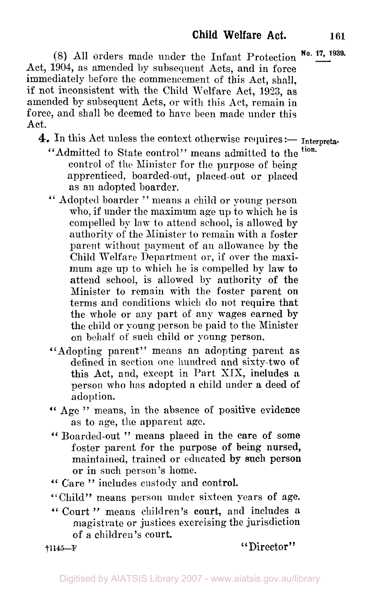<span id="page-3-0"></span>(8) All orders made under the Infant Protection Act, **1904,** as amended by subsequent Acts, and in force immediately before the commencement of this Act, shall. if not inconsistent with the Child Welfare Act, 1923, as amended by subsequent Acts, or with this Act, remain in force, and shall be deemed to have been made under this Act. **No. 17, 1939.** 

4. In this Act unless the context otherwise requires :- Interpreta-

- "Admitted to State control" means admitted to the <sup>tion.</sup> control of the Minister for the purpose of being apprenticed, boarded-out, placed-out or placed as an adopted boarder.
- " Adopted boarder " means **a** child or young person who, if under the maximum age up to which he is compelled by law to attend school, is allowed by authority of the Minister to remain with a foster parent without payment of an allowance by the Child Welfare Department or, if over the maximum age up to which he is compelled by law to attend school, is allowed by authority of the Minister to remain with the foster parent on terms and conditions which do not require that the whole or any part of any wages earned **by**  the child or young person be paid to the Minister on behalf of such child or young person.
- "Adopting parent" means an adopting parent as defined in section one hundred and sixty-two of this **Act,** and, except in Part XIX, includes **a**  person who has adopted a child under a deed of adoption.
- " **Age "** means, in the absence of positive evidence as to age, the apparent age.
- " Boarded-out " means placed in the care of some foster parent for **the** purpose of being nursed, maintained, trained or educated by **such** person or in such person's home.
- *"* Care " includes custody and control.
- "Child" means person under sixteen years **of** age.
- " Court " means children's court, and includes **<sup>a</sup>** magistrate or justices exercising the jurisdiction of a children's court.

**†1145-F** "Director"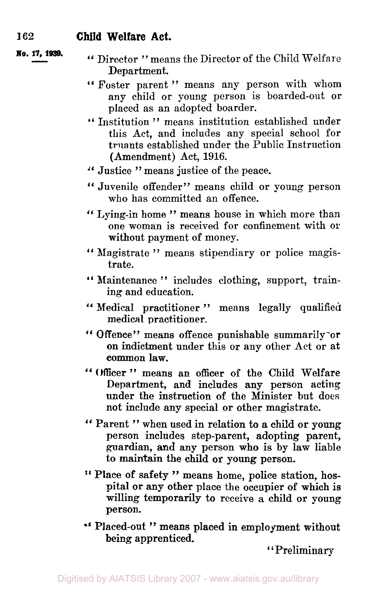**No. 17, 1939.** 

- " Director " means the Director of the Child Welfare Department.
- " Foster parent" means any person with whom any child or young person is boarded-out or placed as an adopted boarder.
- *''* Institution " means institution established under this Act, and includes any special school for truants established under the Public Instruction (Amendment) Act, 1916.
- " Justice " means justice **of** the peace.
- " Juvenile offender" means child or young person who has committed an offence.
- " Lying-in home " means house in which more than one woman is received for confinement with or without payment of money.
- " Magistrate " means stipendiary **or** police magistrate.
- " Maintenance " includes clothing, support, training and education.
- "Medical practitioner" means legally qualified medical practitioner.
- " Offence" means offence punishable summarily or **on** indictment under this or any other Act **or** at **common law.**
- " Officer " means an officer of the Child Welfare Department, and includes any person acting under the instruction **of** the Minister but does not include any special or other magistrate.
- " Parent " when used in relation to a child **or** young person includes step-parent, adopting parent, guardian, and any person who is by law liable **to** maintain the child **or** young person.
- " Place **of** safety " means home, police station, hospital **or** any other place the occupier **of** which is willing temporarily to receive **a** child **or** young person.
- " Placed-out " means placed in employment without being apprenticed.

' ' Preliminary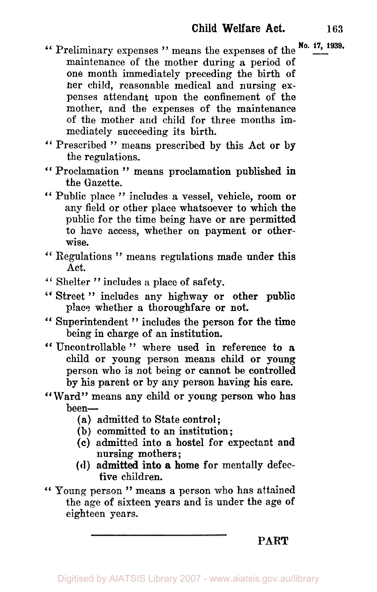- **No. 17, 1939.**  " Preliminary expenses **"** means the expenses of the maintenance of the mother during **a** period **of**  one month immediately preceding the birth **of**  her child, reasonable medical and nursing expenses attendant upon the confinement of the mother, and the expenses of the maintenance of the mother and child for three months immediately succeeding its birth.
- " Prescribed **"** means prescribed by this Act **or by**  the regulations.
- " Proclamation **"** means proclamation published **in**  the Gazette.
- " Public place " includes a vessel, vehicle, **room or**  any field or other place whatsoever to which the public for the time being have **or** are permitted to have access, whether **on** payment **or** otherwise.
- " Regulations " means regulations made under this Act.
- " Shelter " includes **a** place of safety.
- " Street " includes any highway **or** other public place whether a thoroughfare **or** not.
- " Superintendent " includes the person **for** the **time**  being in charge *of* an institution.
- " Uncontrollable " where used in reference **to <sup>a</sup>** child **or young** person means child **or young**  person who is not being **or** cannot be controlled by his parent **or** by any person having his care.
- "Ward" means any child **or** young person who **has**  been-
	- (a) admitted to State control;
	- **(b)** committed to an institution;
	- **(c)** admitted into a hostel for expectant and nursing mothers ;
	- **(d)** admitted into a home **for** mentally defec tive children.
- " Young person" means a person who has attained the age *of* sixteen years and is under the age of eighteen years.

**PART**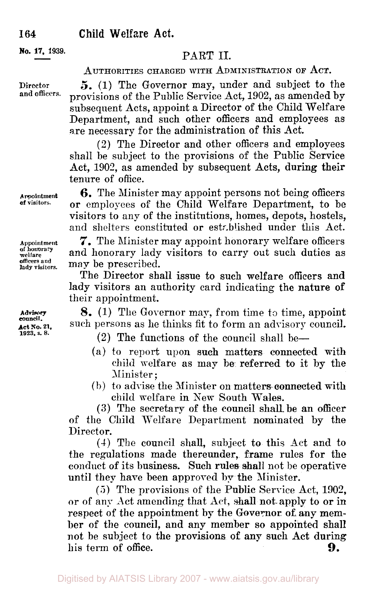**No. 17, 1939. PART II.** 

### AUTHORITIES CHARGED WITH ADMINISTRATION OF ACT.

*5.* (1) The Governor may, under and subject to the provisions of the Public Service Act, 1902, as amended by subsequent Acts, appoint a Director of the Child Welfare Department, and such other officers and employees as are necessary for the administration of this Act.

**(2)** The Director and other officers and employees shall be subject to the provisions of the Public Service Act, 1902, as amended by subsequent Acts, during their tenure of office.

**6.** The Minister may appoint persons not being officers **or** employees *of* the Child Welfare Department, to be visitors to any of the institutions, homes, depots, hostels, and shelters constituted or established under this Act.

*7.* The Minister may appoint honorary welfare officers and honorary lady visitors to carry out such duties as may be prescribed.

The Director shall issue to such welfare officers and lady visitors an authority card indicating the nature **of**  their appointment.

**8.** (1) The Governor may, from time to time, appoint such persons as he thinks fit to form an advisory council.

(2) The functions of the council shall be-

- (a) to report upon **such** matters connected with child welfare as may be referred to it by the Minister ;
- (b) to advise the Minister on matters. connected with child welfare in New South Wales.

**(3)** The secretary of the council shall be an officer of the Child Welfare Department nominated by the Director.

(4) The council shall, subject to this Act and to the regulations made thereunder, frame rules for the conduct of its business. Such rules shall not he operative until they have been approved **by** the Minister.

*(5)* The provisions of the Public Service Act, 1902, or of any Act amending that Act, shall not-apply to or in respect of the appointment by the Governor **of,** any member of the council, and any member so appointed shall not be subject to the provisions of any such Act during his term of office. **9.** 

**Appointment of visitors.** 

**Appointment of honorary welfare officers and lady visitors.** 

**Advisory council. Act No. 21. 1923. s.** *8.* 

**Direetor and officers.**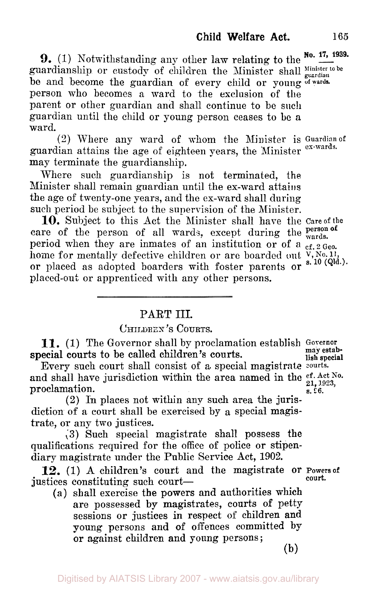**9.**  $(1)$  Notwithstanding any other law relating to the  $\frac{No. 17, 1939}{\cdots}$ guardianship or custody of children the Minister shall Minister to be be and become the guardian of every child or young **of wards**  person who becomes a ward to the exclusion of the parent or other guardian and shall continue to be such guardian until the child or young person ceases to be a ward.

guardian attains the age of eighteen years, the Minister **ex-wards.**  may terminate the guardianship. (2) Where any ward of **whom** the Minister is **Guardian of** 

Where such guardianship is not terminated, the Minister shall remain guardian until the ex-ward attains the age of twenty-one years, and the ex-ward shall during such period be subject to the supervision of the Minister.

care of the person of all wards, except during the **wards.** period when they are inmates of an institution or of a cf. 2 Geo. home for mentally defective children or are boarded out  $V, N_0, 11$ , or placed as adopted boarders with foster parents or s. **10** (Qld.). placed-out or apprenticed with any other persons. **10.** Subject to this Act the Minister shall have the **Care of** the

## PART III.

CHILDREN **'S COURTS.** 

**11.** (1) The Governor shall by proclamation establish **Governor may estab**special courts to be called children's courts.

Every such court shall consist of a special magistrate courts. and shall have jurisdiction within the area named in the  $_{21, 1923, \atop 8, 1923, 1923, \atop 8, 16.}$ proclamation.

**(2)** In places not within any such area the jurisdiction of a court shall be exercised by a special magistrate, or any two justices.

**(3)** Such special magistrate shall possess the qualifications required for the office of police or stipendiary magistrate under the Public Service Act, **1902.** 

justices constituting such court-**12.** (1) **<sup>A</sup>**children's court and the magistrate or **Powers of** 

**(a)** shall exercise the powers and authorities which are possessed **by** magistrates, courts of petty sessions or justices in respect of children and young persons and of offences committed **by**  or against children and young persons ;

**court.** 

(b)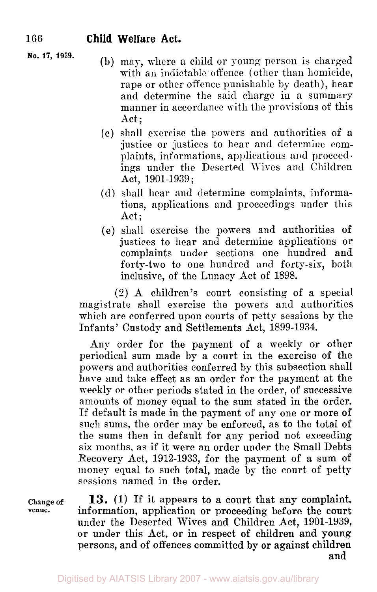- **No. 17, 1939.** (b) may, where a child or young person is charged with an indictable offence (other than homicide, rape or other offence punishable by death), hear and determine the said charge in a summary manner in accordance with the provisions of this Act;
	- (c) shall exercise the powers and authorities of a justice or justices to hear and determine complaints, informations, applications and proceedings under the Deserted Wives and Children Act, 1901-1939 ;
	- **(d)** shall hear and determine complaints, informations, applications and proceedings under this Act;
	- (e) shall exercise the powers and authorities of justices to hear and determine applications or complaints under sections one hundred and forty-two to one hundred and forty-six, both inclusive, of the Lunacy Act of 1898.

(2) A children's court consisting of a special magistrate shall exercise the powers and authorities which are conferred upon courts of petty sessions by the Infants' Custody and Settlements Act, 1899-1934.

Any order for the payment of a weekly or other periodical sum made by a court in the exercise of the powers and authorities conferred by this subsection shall have and take effect as an order for the payment at the weekly or other periods stated in the order, of successive amounts of money equal to the sum stated in the order. If default is made in the payment of any one or more of such sums, the order may be enforced, as to the total of the sums then in default for any period not exceeding six months, as if it mere an order under the Small Debts Recovery Act, 1912-1933, for the payment of a sum of money equal to such total, made by the court of petty sessions named in the order.

**Change of venue.** 

**13.** (1) **If** it appears to a court that any complaint, information, application or proceeding before the court under the Deserted Wives and Children Act, 1901-1939, or under this Act, or in respect **of** children and young persons, and of offences committed by or against children and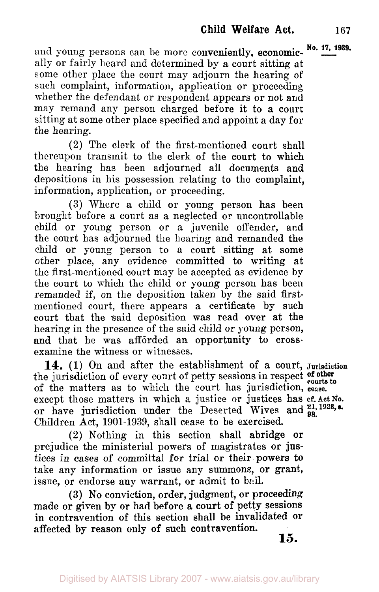Digitised by AIATSIS Library 2007 - www.aiatsis.gov.au/library

and young persons can be more conveniently, economic- No. 17, 1939. ally or fairly heard and determined by a court sitting at some other place the court may adjourn the hearing **of**  such complaint, information, application or proceeding whether the defendant or respondent appears or not and may remand any person charged before it to a court sitting at some other place specified and appoint a day for the hearing.

(2) The clerk of the first-mentioned court shall thereupon transmit to the clerk of the court to which the hearing has been adjourned all documents and depositions in his possession relating to the complaint, information, application, or proceeding.

**(3)** Where a child or young person has been brought before a court as a neglected or uncontrollable child or young person or a juvenile offender, and the court has adjourned the hearing and remanded the child or young person to a court sitting at some other place, any evidence committed to writing at the first-mentioned court may be accepted as evidence by the court to which the child or young person has been remanded if, on the deposition taken by the said firstmentioned court, there appears a certificate by such court that the said deposition was read over at **the**  hearing in the presence of the said child or young person, and that he was afforded an opportunity to crossexamine the witness or witnesses.

**14.** (1) On and after the establishment of a court, **Jurisdiction**  the jurisdiction of every court of petty sessions in respect of other the jurisdiction of every court of petty sessions in respect **courts to** of the matters as to which the court has jurisdiction, **cease.**  except those matters in which a justice or justices has **cf. Act No.**  or have jurisdiction under the Deserted Wives and <sup>21, 1923, a.</sup> Children Act, 1901-1939, shall cease to be exercised.

**(2)** Nothing in this section shall abridge **or**  prejudice the ministerial powers of magistrates or justices in cases of committal for trial or their powers to take any information or issue any summons, or grant, issue, or endorse any warrant, or admit to *bail.* 

**(3)** No conviction, order, judgment, or proceeding made or given by **or had** before a court of petty sessions in contravention of this section shall be invalidated **or**  affected by reason only of such contravention. **15.**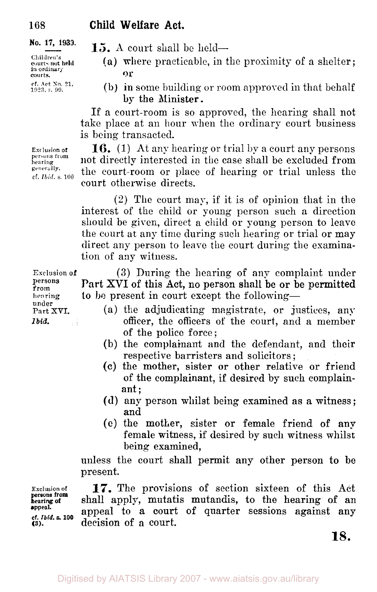**Children's**  in ordinary **courts. Or** 

**cf Act** No 21. **1923, s.99** 

**15.** A court shall be held-

- (a) where practicable, in the proximity of a shelter;
- **(b)** in some building or room approved in that behalf by the Minister.

If a court-room is so approved, the hearing shall not take place at an hour when the ordinary court business is being transacted.

**16.** (1) At any hearing or trial by a court any persons not directly interested in the case shall be excluded from the court-room or place of hearing or trial unless the court otherwise directs.

(2) The court may, if it is of opinion that in the interest of the child or young person such a direction should be given, direct a child or young person to leave the court at any time during such hearing or trial or may direct any person to leave the court during the examination of any witness.

Exclusion of (3) During the hearing of any complaint under<br>persons **Douglass Property of this Actual persons** shall be a history consisted Part XVI of this Act, no person shall be or be permitted **hearing to be present in court except the following—<br>
<b>under** Part XVI. (a) the adjudicating magistrate, or ju

- (a) the adjudicating magistrate, or justices, any *<i>bid.* officer, the officers of the court, and a member of the police force ;
	- (b) the complainant and the defendant, and their respective barristers and solicitors ;
	- **(c)** the mother, sister or other relative or friend of the complainant, if desired by such complainant ;
	- **(d)** any person whilst being examined as a witness; and
	- *(c)* the mother, sister or female friend of any female witness, if desired by such witness whilst being examined,

unless the court shall permit any other person **to** be present.

**Exclusion of 17.** The provisions of section sixteen of this **Act bearingof** shall apply, mutatis mutandis, to the hearing of an appeal to a court of quarter sessions against any **(3).** decision of a court.

**18.** 

**hearing generally.**  cf *Ibid* **s 100** 

**Exclusion of persons from** 

from<br>hearing

**persons from appeal.** 

**cf** *Ibid.* **s. 100**